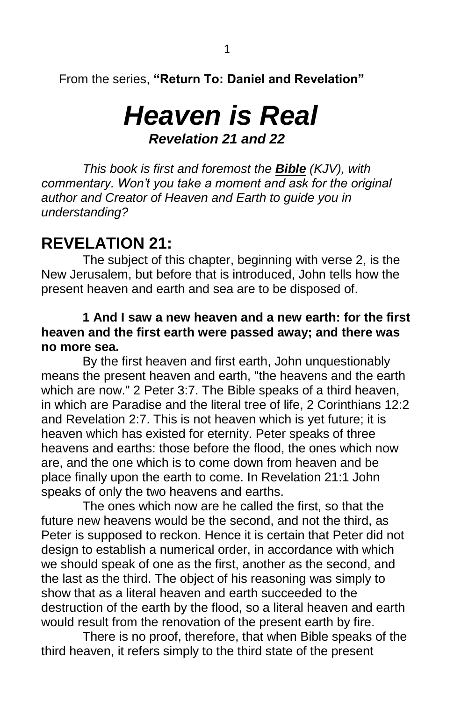From the series, **"Return To: Daniel and Revelation"**

# *Heaven is Real Revelation 21 and 22*

*This book is first and foremost the Bible (KJV), with commentary. Won't you take a moment and ask for the original author and Creator of Heaven and Earth to guide you in understanding?*

## **REVELATION 21:**

The subject of this chapter, beginning with verse 2, is the New Jerusalem, but before that is introduced, John tells how the present heaven and earth and sea are to be disposed of.

#### **1 And I saw a new heaven and a new earth: for the first heaven and the first earth were passed away; and there was no more sea.**

By the first heaven and first earth, John unquestionably means the present heaven and earth, "the heavens and the earth which are now." 2 Peter 3:7. The Bible speaks of a third heaven, in which are Paradise and the literal tree of life, 2 Corinthians 12:2 and Revelation 2:7. This is not heaven which is yet future; it is heaven which has existed for eternity. Peter speaks of three heavens and earths: those before the flood, the ones which now are, and the one which is to come down from heaven and be place finally upon the earth to come. In Revelation 21:1 John speaks of only the two heavens and earths.

The ones which now are he called the first, so that the future new heavens would be the second, and not the third, as Peter is supposed to reckon. Hence it is certain that Peter did not design to establish a numerical order, in accordance with which we should speak of one as the first, another as the second, and the last as the third. The object of his reasoning was simply to show that as a literal heaven and earth succeeded to the destruction of the earth by the flood, so a literal heaven and earth would result from the renovation of the present earth by fire.

There is no proof, therefore, that when Bible speaks of the third heaven, it refers simply to the third state of the present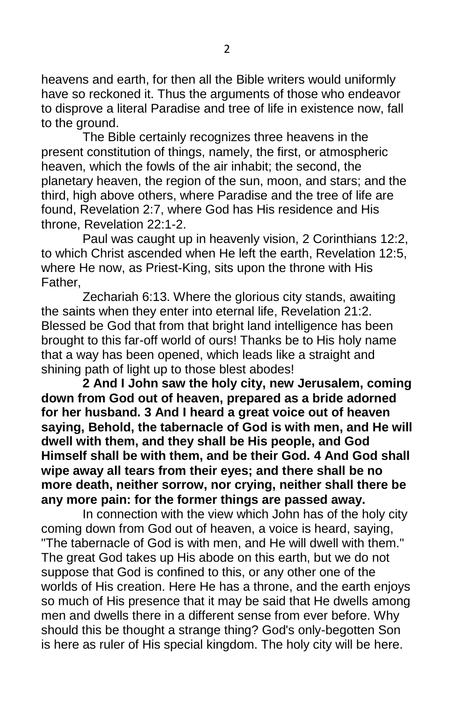heavens and earth, for then all the Bible writers would uniformly have so reckoned it. Thus the arguments of those who endeavor to disprove a literal Paradise and tree of life in existence now, fall to the ground.

The Bible certainly recognizes three heavens in the present constitution of things, namely, the first, or atmospheric heaven, which the fowls of the air inhabit; the second, the planetary heaven, the region of the sun, moon, and stars; and the third, high above others, where Paradise and the tree of life are found, Revelation 2:7, where God has His residence and His throne, Revelation 22:1-2.

Paul was caught up in heavenly vision, 2 Corinthians 12:2, to which Christ ascended when He left the earth, Revelation 12:5, where He now, as Priest-King, sits upon the throne with His Father,

Zechariah 6:13. Where the glorious city stands, awaiting the saints when they enter into eternal life, Revelation 21:2. Blessed be God that from that bright land intelligence has been brought to this far-off world of ours! Thanks be to His holy name that a way has been opened, which leads like a straight and shining path of light up to those blest abodes!

**2 And I John saw the holy city, new Jerusalem, coming down from God out of heaven, prepared as a bride adorned for her husband. 3 And I heard a great voice out of heaven saying, Behold, the tabernacle of God is with men, and He will dwell with them, and they shall be His people, and God Himself shall be with them, and be their God. 4 And God shall wipe away all tears from their eyes; and there shall be no more death, neither sorrow, nor crying, neither shall there be any more pain: for the former things are passed away.**

In connection with the view which John has of the holy city coming down from God out of heaven, a voice is heard, saying, "The tabernacle of God is with men, and He will dwell with them." The great God takes up His abode on this earth, but we do not suppose that God is confined to this, or any other one of the worlds of His creation. Here He has a throne, and the earth enjoys so much of His presence that it may be said that He dwells among men and dwells there in a different sense from ever before. Why should this be thought a strange thing? God's only-begotten Son is here as ruler of His special kingdom. The holy city will be here.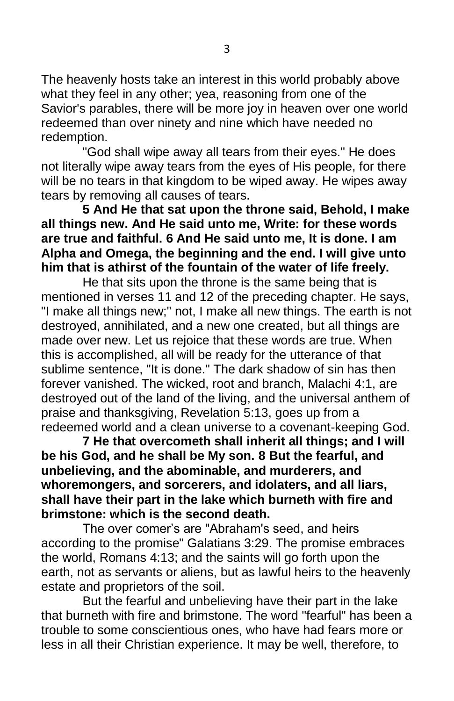The heavenly hosts take an interest in this world probably above what they feel in any other; yea, reasoning from one of the Savior's parables, there will be more joy in heaven over one world redeemed than over ninety and nine which have needed no redemption.

"God shall wipe away all tears from their eyes." He does not literally wipe away tears from the eyes of His people, for there will be no tears in that kingdom to be wiped away. He wipes away tears by removing all causes of tears.

**5 And He that sat upon the throne said, Behold, I make all things new. And He said unto me, Write: for these words are true and faithful. 6 And He said unto me, It is done. I am Alpha and Omega, the beginning and the end. I will give unto him that is athirst of the fountain of the water of life freely.**

He that sits upon the throne is the same being that is mentioned in verses 11 and 12 of the preceding chapter. He says, "I make all things new;" not, I make all new things. The earth is not destroyed, annihilated, and a new one created, but all things are made over new. Let us rejoice that these words are true. When this is accomplished, all will be ready for the utterance of that sublime sentence, "It is done." The dark shadow of sin has then forever vanished. The wicked, root and branch, Malachi 4:1, are destroyed out of the land of the living, and the universal anthem of praise and thanksgiving, Revelation 5:13, goes up from a redeemed world and a clean universe to a covenant-keeping God.

**7 He that overcometh shall inherit all things; and I will be his God, and he shall be My son. 8 But the fearful, and unbelieving, and the abominable, and murderers, and whoremongers, and sorcerers, and idolaters, and all liars, shall have their part in the lake which burneth with fire and brimstone: which is the second death.**

The over comer's are "Abraham's seed, and heirs according to the promise" Galatians 3:29. The promise embraces the world, Romans 4:13; and the saints will go forth upon the earth, not as servants or aliens, but as lawful heirs to the heavenly estate and proprietors of the soil.

But the fearful and unbelieving have their part in the lake that burneth with fire and brimstone. The word "fearful" has been a trouble to some conscientious ones, who have had fears more or less in all their Christian experience. It may be well, therefore, to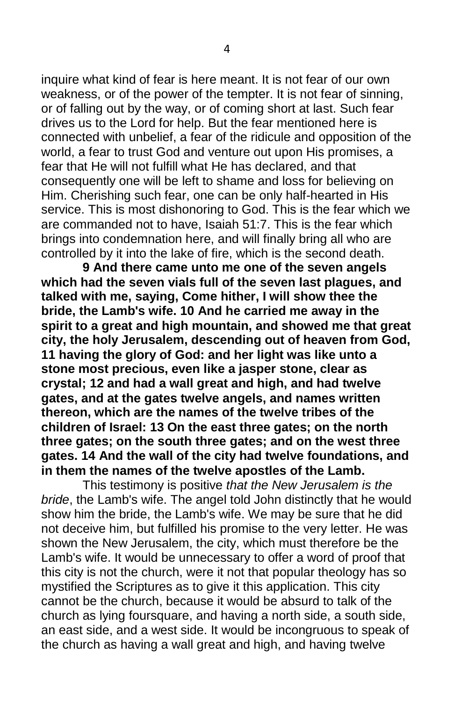inquire what kind of fear is here meant. It is not fear of our own weakness, or of the power of the tempter. It is not fear of sinning, or of falling out by the way, or of coming short at last. Such fear drives us to the Lord for help. But the fear mentioned here is connected with unbelief, a fear of the ridicule and opposition of the world, a fear to trust God and venture out upon His promises, a fear that He will not fulfill what He has declared, and that consequently one will be left to shame and loss for believing on Him. Cherishing such fear, one can be only half-hearted in His service. This is most dishonoring to God. This is the fear which we are commanded not to have, Isaiah 51:7. This is the fear which brings into condemnation here, and will finally bring all who are controlled by it into the lake of fire, which is the second death.

**9 And there came unto me one of the seven angels which had the seven vials full of the seven last plagues, and talked with me, saying, Come hither, I will show thee the bride, the Lamb's wife. 10 And he carried me away in the spirit to a great and high mountain, and showed me that great city, the holy Jerusalem, descending out of heaven from God, 11 having the glory of God: and her light was like unto a stone most precious, even like a jasper stone, clear as crystal; 12 and had a wall great and high, and had twelve gates, and at the gates twelve angels, and names written thereon, which are the names of the twelve tribes of the children of Israel: 13 On the east three gates; on the north three gates; on the south three gates; and on the west three gates. 14 And the wall of the city had twelve foundations, and in them the names of the twelve apostles of the Lamb.**

This testimony is positive *that the New Jerusalem is the bride*, the Lamb's wife. The angel told John distinctly that he would show him the bride, the Lamb's wife. We may be sure that he did not deceive him, but fulfilled his promise to the very letter. He was shown the New Jerusalem, the city, which must therefore be the Lamb's wife. It would be unnecessary to offer a word of proof that this city is not the church, were it not that popular theology has so mystified the Scriptures as to give it this application. This city cannot be the church, because it would be absurd to talk of the church as lying foursquare, and having a north side, a south side, an east side, and a west side. It would be incongruous to speak of the church as having a wall great and high, and having twelve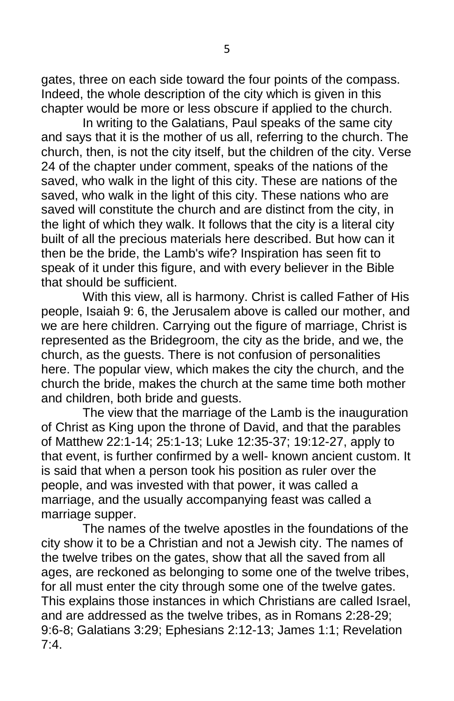gates, three on each side toward the four points of the compass. Indeed, the whole description of the city which is given in this chapter would be more or less obscure if applied to the church.

In writing to the Galatians, Paul speaks of the same city and says that it is the mother of us all, referring to the church. The church, then, is not the city itself, but the children of the city. Verse 24 of the chapter under comment, speaks of the nations of the saved, who walk in the light of this city. These are nations of the saved, who walk in the light of this city. These nations who are saved will constitute the church and are distinct from the city, in the light of which they walk. It follows that the city is a literal city built of all the precious materials here described. But how can it then be the bride, the Lamb's wife? Inspiration has seen fit to speak of it under this figure, and with every believer in the Bible that should be sufficient.

With this view, all is harmony. Christ is called Father of His people, Isaiah 9: 6, the Jerusalem above is called our mother, and we are here children. Carrying out the figure of marriage, Christ is represented as the Bridegroom, the city as the bride, and we, the church, as the guests. There is not confusion of personalities here. The popular view, which makes the city the church, and the church the bride, makes the church at the same time both mother and children, both bride and guests.

The view that the marriage of the Lamb is the inauguration of Christ as King upon the throne of David, and that the parables of Matthew 22:1-14; 25:1-13; Luke 12:35-37; 19:12-27, apply to that event, is further confirmed by a well- known ancient custom. It is said that when a person took his position as ruler over the people, and was invested with that power, it was called a marriage, and the usually accompanying feast was called a marriage supper.

The names of the twelve apostles in the foundations of the city show it to be a Christian and not a Jewish city. The names of the twelve tribes on the gates, show that all the saved from all ages, are reckoned as belonging to some one of the twelve tribes, for all must enter the city through some one of the twelve gates. This explains those instances in which Christians are called Israel, and are addressed as the twelve tribes, as in Romans 2:28-29; 9:6-8; Galatians 3:29; Ephesians 2:12-13; James 1:1; Revelation  $7.4$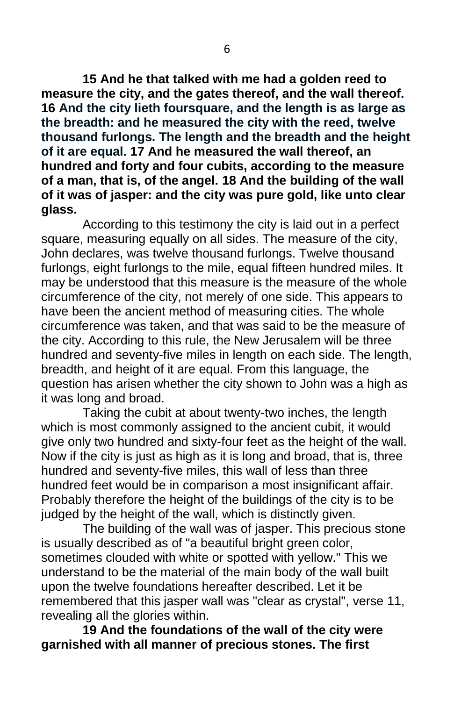**15 And he that talked with me had a golden reed to measure the city, and the gates thereof, and the wall thereof. 16 And the city lieth foursquare, and the length is as large as the breadth: and he measured the city with the reed, twelve thousand furlongs. The length and the breadth and the height of it are equal. 17 And he measured the wall thereof, an hundred and forty and four cubits, according to the measure of a man, that is, of the angel. 18 And the building of the wall of it was of jasper: and the city was pure gold, like unto clear glass.**

According to this testimony the city is laid out in a perfect square, measuring equally on all sides. The measure of the city, John declares, was twelve thousand furlongs. Twelve thousand furlongs, eight furlongs to the mile, equal fifteen hundred miles. It may be understood that this measure is the measure of the whole circumference of the city, not merely of one side. This appears to have been the ancient method of measuring cities. The whole circumference was taken, and that was said to be the measure of the city. According to this rule, the New Jerusalem will be three hundred and seventy-five miles in length on each side. The length, breadth, and height of it are equal. From this language, the question has arisen whether the city shown to John was a high as it was long and broad.

Taking the cubit at about twenty-two inches, the length which is most commonly assigned to the ancient cubit, it would give only two hundred and sixty-four feet as the height of the wall. Now if the city is just as high as it is long and broad, that is, three hundred and seventy-five miles, this wall of less than three hundred feet would be in comparison a most insignificant affair. Probably therefore the height of the buildings of the city is to be judged by the height of the wall, which is distinctly given.

The building of the wall was of jasper. This precious stone is usually described as of "a beautiful bright green color, sometimes clouded with white or spotted with yellow." This we understand to be the material of the main body of the wall built upon the twelve foundations hereafter described. Let it be remembered that this jasper wall was "clear as crystal", verse 11, revealing all the glories within.

**19 And the foundations of the wall of the city were garnished with all manner of precious stones. The first**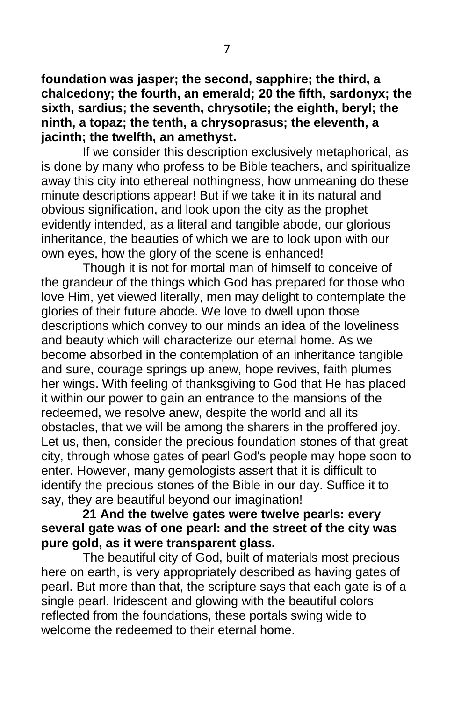**foundation was jasper; the second, sapphire; the third, a chalcedony; the fourth, an emerald; 20 the fifth, sardonyx; the sixth, sardius; the seventh, chrysotile; the eighth, beryl; the ninth, a topaz; the tenth, a chrysoprasus; the eleventh, a jacinth; the twelfth, an amethyst.**

If we consider this description exclusively metaphorical, as is done by many who profess to be Bible teachers, and spiritualize away this city into ethereal nothingness, how unmeaning do these minute descriptions appear! But if we take it in its natural and obvious signification, and look upon the city as the prophet evidently intended, as a literal and tangible abode, our glorious inheritance, the beauties of which we are to look upon with our own eyes, how the glory of the scene is enhanced!

Though it is not for mortal man of himself to conceive of the grandeur of the things which God has prepared for those who love Him, yet viewed literally, men may delight to contemplate the glories of their future abode. We love to dwell upon those descriptions which convey to our minds an idea of the loveliness and beauty which will characterize our eternal home. As we become absorbed in the contemplation of an inheritance tangible and sure, courage springs up anew, hope revives, faith plumes her wings. With feeling of thanksgiving to God that He has placed it within our power to gain an entrance to the mansions of the redeemed, we resolve anew, despite the world and all its obstacles, that we will be among the sharers in the proffered joy. Let us, then, consider the precious foundation stones of that great city, through whose gates of pearl God's people may hope soon to enter. However, many gemologists assert that it is difficult to identify the precious stones of the Bible in our day. Suffice it to say, they are beautiful beyond our imagination!

#### **21 And the twelve gates were twelve pearls: every several gate was of one pearl: and the street of the city was pure gold, as it were transparent glass.**

The beautiful city of God, built of materials most precious here on earth, is very appropriately described as having gates of pearl. But more than that, the scripture says that each gate is of a single pearl. Iridescent and glowing with the beautiful colors reflected from the foundations, these portals swing wide to welcome the redeemed to their eternal home.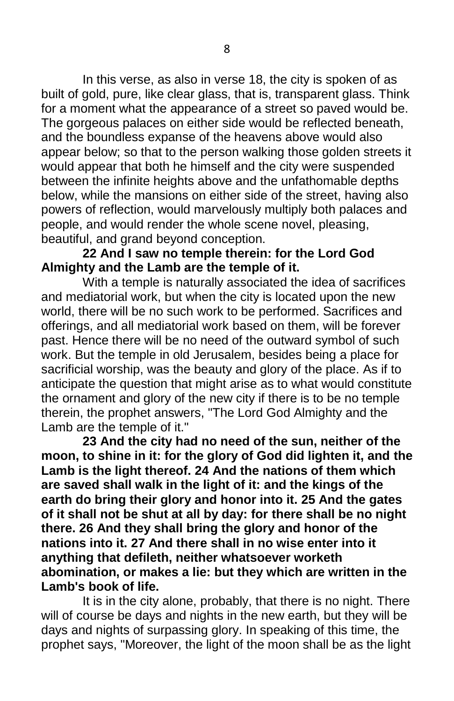In this verse, as also in verse 18, the city is spoken of as built of gold, pure, like clear glass, that is, transparent glass. Think for a moment what the appearance of a street so paved would be. The gorgeous palaces on either side would be reflected beneath, and the boundless expanse of the heavens above would also appear below; so that to the person walking those golden streets it would appear that both he himself and the city were suspended between the infinite heights above and the unfathomable depths below, while the mansions on either side of the street, having also powers of reflection, would marvelously multiply both palaces and people, and would render the whole scene novel, pleasing, beautiful, and grand beyond conception.

#### **22 And I saw no temple therein: for the Lord God Almighty and the Lamb are the temple of it.**

With a temple is naturally associated the idea of sacrifices and mediatorial work, but when the city is located upon the new world, there will be no such work to be performed. Sacrifices and offerings, and all mediatorial work based on them, will be forever past. Hence there will be no need of the outward symbol of such work. But the temple in old Jerusalem, besides being a place for sacrificial worship, was the beauty and glory of the place. As if to anticipate the question that might arise as to what would constitute the ornament and glory of the new city if there is to be no temple therein, the prophet answers, "The Lord God Almighty and the Lamb are the temple of it."

**23 And the city had no need of the sun, neither of the moon, to shine in it: for the glory of God did lighten it, and the Lamb is the light thereof. 24 And the nations of them which are saved shall walk in the light of it: and the kings of the earth do bring their glory and honor into it. 25 And the gates of it shall not be shut at all by day: for there shall be no night there. 26 And they shall bring the glory and honor of the nations into it. 27 And there shall in no wise enter into it anything that defileth, neither whatsoever worketh abomination, or makes a lie: but they which are written in the Lamb's book of life.**

It is in the city alone, probably, that there is no night. There will of course be days and nights in the new earth, but they will be days and nights of surpassing glory. In speaking of this time, the prophet says, "Moreover, the light of the moon shall be as the light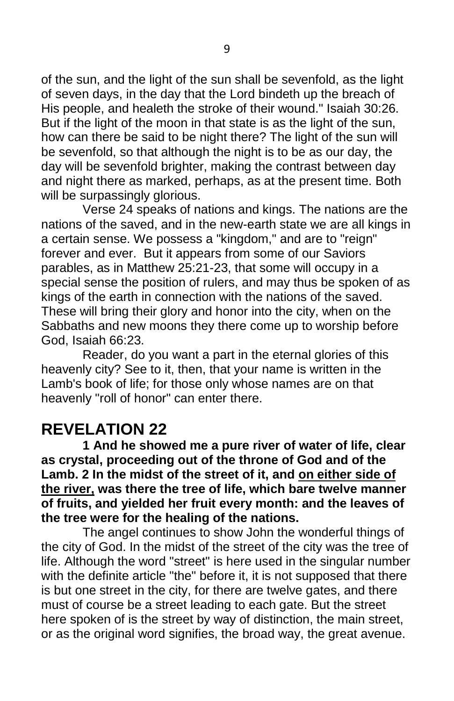of the sun, and the light of the sun shall be sevenfold, as the light of seven days, in the day that the Lord bindeth up the breach of His people, and healeth the stroke of their wound." Isaiah 30:26. But if the light of the moon in that state is as the light of the sun, how can there be said to be night there? The light of the sun will be sevenfold, so that although the night is to be as our day, the day will be sevenfold brighter, making the contrast between day and night there as marked, perhaps, as at the present time. Both will be surpassingly glorious.

Verse 24 speaks of nations and kings. The nations are the nations of the saved, and in the new-earth state we are all kings in a certain sense. We possess a "kingdom," and are to "reign" forever and ever. But it appears from some of our Saviors parables, as in Matthew 25:21-23, that some will occupy in a special sense the position of rulers, and may thus be spoken of as kings of the earth in connection with the nations of the saved. These will bring their glory and honor into the city, when on the Sabbaths and new moons they there come up to worship before God, Isaiah 66:23.

Reader, do you want a part in the eternal glories of this heavenly city? See to it, then, that your name is written in the Lamb's book of life; for those only whose names are on that heavenly "roll of honor" can enter there.

### **REVELATION 22**

**1 And he showed me a pure river of water of life, clear as crystal, proceeding out of the throne of God and of the Lamb. 2 In the midst of the street of it, and on either side of the river, was there the tree of life, which bare twelve manner of fruits, and yielded her fruit every month: and the leaves of the tree were for the healing of the nations.**

The angel continues to show John the wonderful things of the city of God. In the midst of the street of the city was the tree of life. Although the word "street" is here used in the singular number with the definite article "the" before it, it is not supposed that there is but one street in the city, for there are twelve gates, and there must of course be a street leading to each gate. But the street here spoken of is the street by way of distinction, the main street, or as the original word signifies, the broad way, the great avenue.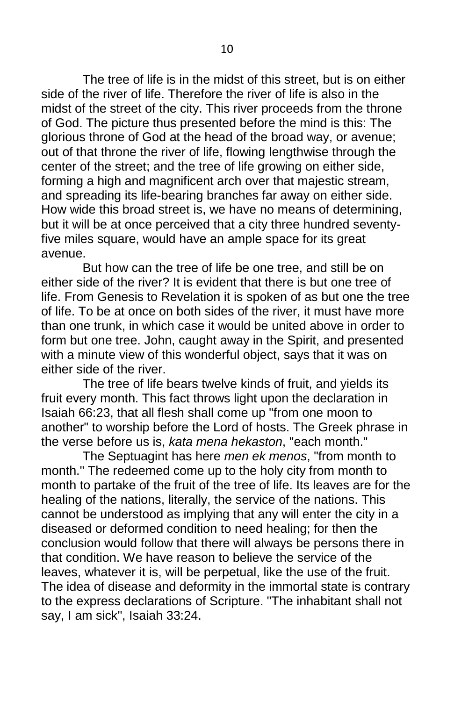The tree of life is in the midst of this street, but is on either side of the river of life. Therefore the river of life is also in the midst of the street of the city. This river proceeds from the throne of God. The picture thus presented before the mind is this: The glorious throne of God at the head of the broad way, or avenue; out of that throne the river of life, flowing lengthwise through the center of the street; and the tree of life growing on either side, forming a high and magnificent arch over that majestic stream, and spreading its life-bearing branches far away on either side. How wide this broad street is, we have no means of determining, but it will be at once perceived that a city three hundred seventyfive miles square, would have an ample space for its great avenue.

But how can the tree of life be one tree, and still be on either side of the river? It is evident that there is but one tree of life. From Genesis to Revelation it is spoken of as but one the tree of life. To be at once on both sides of the river, it must have more than one trunk, in which case it would be united above in order to form but one tree. John, caught away in the Spirit, and presented with a minute view of this wonderful object, says that it was on either side of the river.

The tree of life bears twelve kinds of fruit, and yields its fruit every month. This fact throws light upon the declaration in Isaiah 66:23, that all flesh shall come up "from one moon to another" to worship before the Lord of hosts. The Greek phrase in the verse before us is, *kata mena hekaston*, "each month."

The Septuagint has here *men ek menos*, "from month to month." The redeemed come up to the holy city from month to month to partake of the fruit of the tree of life. Its leaves are for the healing of the nations, literally, the service of the nations. This cannot be understood as implying that any will enter the city in a diseased or deformed condition to need healing; for then the conclusion would follow that there will always be persons there in that condition. We have reason to believe the service of the leaves, whatever it is, will be perpetual, like the use of the fruit. The idea of disease and deformity in the immortal state is contrary to the express declarations of Scripture. "The inhabitant shall not say, I am sick", Isaiah 33:24.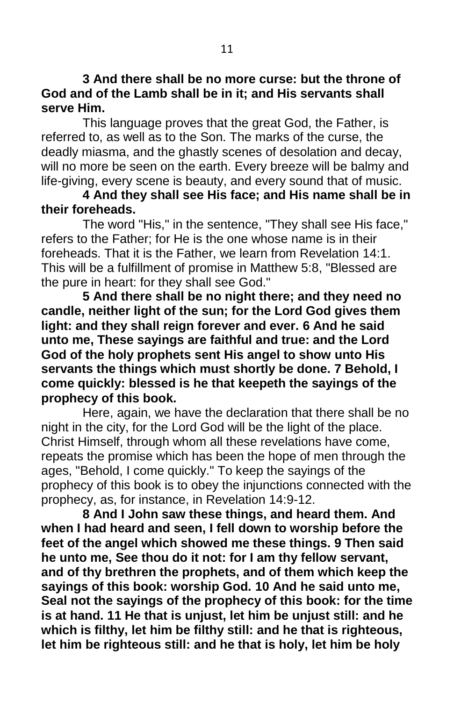**3 And there shall be no more curse: but the throne of God and of the Lamb shall be in it; and His servants shall serve Him.**

This language proves that the great God, the Father, is referred to, as well as to the Son. The marks of the curse, the deadly miasma, and the ghastly scenes of desolation and decay, will no more be seen on the earth. Every breeze will be balmy and life-giving, every scene is beauty, and every sound that of music.

#### **4 And they shall see His face; and His name shall be in their foreheads.**

The word "His," in the sentence, "They shall see His face," refers to the Father; for He is the one whose name is in their foreheads. That it is the Father, we learn from Revelation 14:1. This will be a fulfillment of promise in Matthew 5:8, "Blessed are the pure in heart: for they shall see God."

**5 And there shall be no night there; and they need no candle, neither light of the sun; for the Lord God gives them light: and they shall reign forever and ever. 6 And he said unto me, These sayings are faithful and true: and the Lord God of the holy prophets sent His angel to show unto His servants the things which must shortly be done. 7 Behold, I come quickly: blessed is he that keepeth the sayings of the prophecy of this book.**

Here, again, we have the declaration that there shall be no night in the city, for the Lord God will be the light of the place. Christ Himself, through whom all these revelations have come, repeats the promise which has been the hope of men through the ages, "Behold, I come quickly." To keep the sayings of the prophecy of this book is to obey the injunctions connected with the prophecy, as, for instance, in Revelation 14:9-12.

**8 And I John saw these things, and heard them. And when I had heard and seen, I fell down to worship before the feet of the angel which showed me these things. 9 Then said he unto me, See thou do it not: for I am thy fellow servant, and of thy brethren the prophets, and of them which keep the sayings of this book: worship God. 10 And he said unto me, Seal not the sayings of the prophecy of this book: for the time is at hand. 11 He that is unjust, let him be unjust still: and he which is filthy, let him be filthy still: and he that is righteous, let him be righteous still: and he that is holy, let him be holy**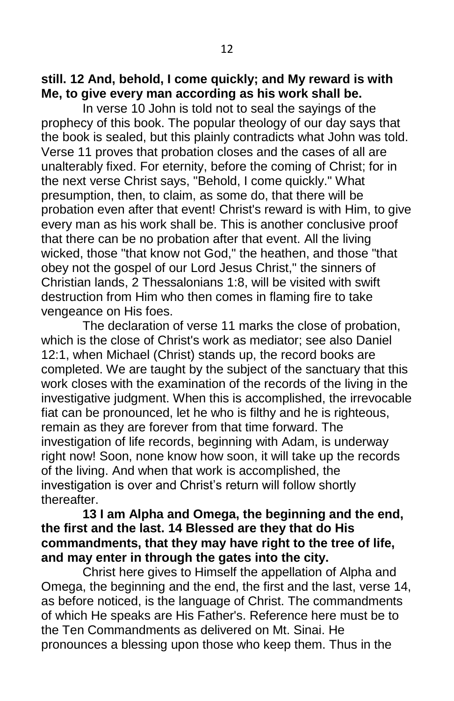#### **still. 12 And, behold, I come quickly; and My reward is with Me, to give every man according as his work shall be.**

In verse 10 John is told not to seal the sayings of the prophecy of this book. The popular theology of our day says that the book is sealed, but this plainly contradicts what John was told. Verse 11 proves that probation closes and the cases of all are unalterably fixed. For eternity, before the coming of Christ; for in the next verse Christ says, "Behold, I come quickly." What presumption, then, to claim, as some do, that there will be probation even after that event! Christ's reward is with Him, to give every man as his work shall be. This is another conclusive proof that there can be no probation after that event. All the living wicked, those "that know not God," the heathen, and those "that obey not the gospel of our Lord Jesus Christ," the sinners of Christian lands, 2 Thessalonians 1:8, will be visited with swift destruction from Him who then comes in flaming fire to take vengeance on His foes.

The declaration of verse 11 marks the close of probation, which is the close of Christ's work as mediator; see also Daniel 12:1, when Michael (Christ) stands up, the record books are completed. We are taught by the subject of the sanctuary that this work closes with the examination of the records of the living in the investigative judgment. When this is accomplished, the irrevocable fiat can be pronounced, let he who is filthy and he is righteous, remain as they are forever from that time forward. The investigation of life records, beginning with Adam, is underway right now! Soon, none know how soon, it will take up the records of the living. And when that work is accomplished, the investigation is over and Christ's return will follow shortly thereafter.

#### **13 I am Alpha and Omega, the beginning and the end, the first and the last. 14 Blessed are they that do His commandments, that they may have right to the tree of life, and may enter in through the gates into the city.**

Christ here gives to Himself the appellation of Alpha and Omega, the beginning and the end, the first and the last, verse 14, as before noticed, is the language of Christ. The commandments of which He speaks are His Father's. Reference here must be to the Ten Commandments as delivered on Mt. Sinai. He pronounces a blessing upon those who keep them. Thus in the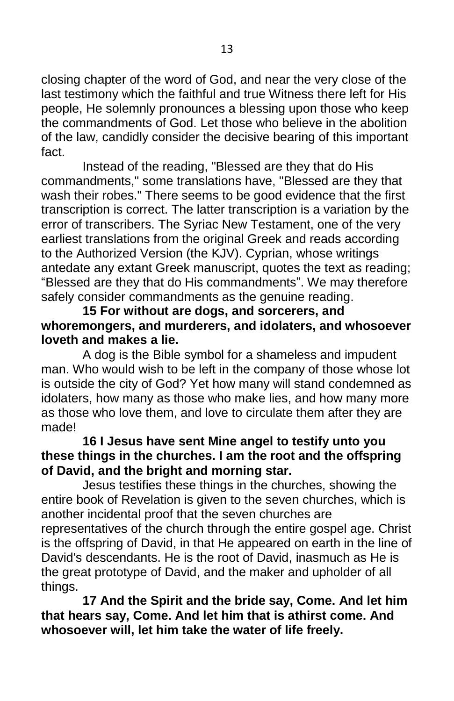closing chapter of the word of God, and near the very close of the last testimony which the faithful and true Witness there left for His people, He solemnly pronounces a blessing upon those who keep the commandments of God. Let those who believe in the abolition of the law, candidly consider the decisive bearing of this important fact.

Instead of the reading, "Blessed are they that do His commandments," some translations have, "Blessed are they that wash their robes." There seems to be good evidence that the first transcription is correct. The latter transcription is a variation by the error of transcribers. The Syriac New Testament, one of the very earliest translations from the original Greek and reads according to the Authorized Version (the KJV). Cyprian, whose writings antedate any extant Greek manuscript, quotes the text as reading; "Blessed are they that do His commandments". We may therefore safely consider commandments as the genuine reading.

#### **15 For without are dogs, and sorcerers, and whoremongers, and murderers, and idolaters, and whosoever loveth and makes a lie.**

A dog is the Bible symbol for a shameless and impudent man. Who would wish to be left in the company of those whose lot is outside the city of God? Yet how many will stand condemned as idolaters, how many as those who make lies, and how many more as those who love them, and love to circulate them after they are made!

#### **16 I Jesus have sent Mine angel to testify unto you these things in the churches. I am the root and the offspring of David, and the bright and morning star.**

Jesus testifies these things in the churches, showing the entire book of Revelation is given to the seven churches, which is another incidental proof that the seven churches are representatives of the church through the entire gospel age. Christ is the offspring of David, in that He appeared on earth in the line of David's descendants. He is the root of David, inasmuch as He is the great prototype of David, and the maker and upholder of all things.

**17 And the Spirit and the bride say, Come. And let him that hears say, Come. And let him that is athirst come. And whosoever will, let him take the water of life freely.**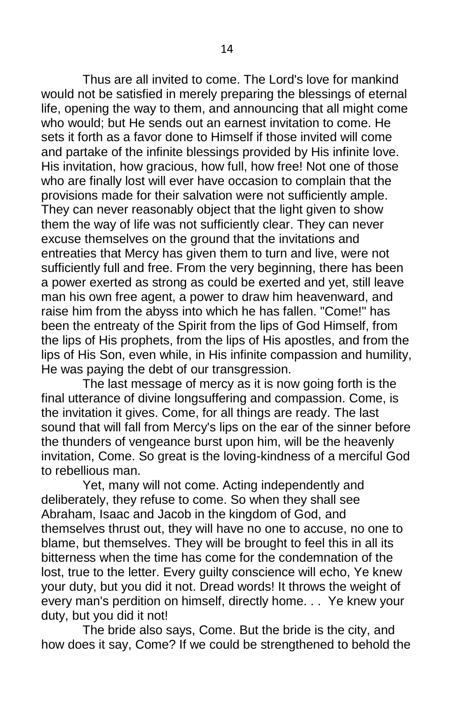Thus are all invited to come. The Lord's love for mankind would not be satisfied in merely preparing the blessings of eternal life, opening the way to them, and announcing that all might come who would; but He sends out an earnest invitation to come. He sets it forth as a favor done to Himself if those invited will come and partake of the infinite blessings provided by His infinite love. His invitation, how gracious, how full, how free! Not one of those who are finally lost will ever have occasion to complain that the provisions made for their salvation were not sufficiently ample. They can never reasonably object that the light given to show them the way of life was not sufficiently clear. They can never excuse themselves on the ground that the invitations and entreaties that Mercy has given them to turn and live, were not sufficiently full and free. From the very beginning, there has been a power exerted as strong as could be exerted and yet, still leave man his own free agent, a power to draw him heavenward, and raise him from the abyss into which he has fallen. "Come!" has been the entreaty of the Spirit from the lips of God Himself, from the lips of His prophets, from the lips of His apostles, and from the lips of His Son, even while, in His infinite compassion and humility, He was paying the debt of our transgression.

The last message of mercy as it is now going forth is the final utterance of divine longsuffering and compassion. Come, is the invitation it gives. Come, for all things are ready. The last sound that will fall from Mercy's lips on the ear of the sinner before the thunders of vengeance burst upon him, will be the heavenly invitation, Come. So great is the loving-kindness of a merciful God to rebellious man.

Yet, many will not come. Acting independently and deliberately, they refuse to come. So when they shall see Abraham, Isaac and Jacob in the kingdom of God, and themselves thrust out, they will have no one to accuse, no one to blame, but themselves. They will be brought to feel this in all its bitterness when the time has come for the condemnation of the lost, true to the letter. Every guilty conscience will echo, Ye knew your duty, but you did it not. Dread words! It throws the weight of every man's perdition on himself, directly home. . . Ye knew your duty, but you did it not!

The bride also says, Come. But the bride is the city, and how does it say, Come? If we could be strengthened to behold the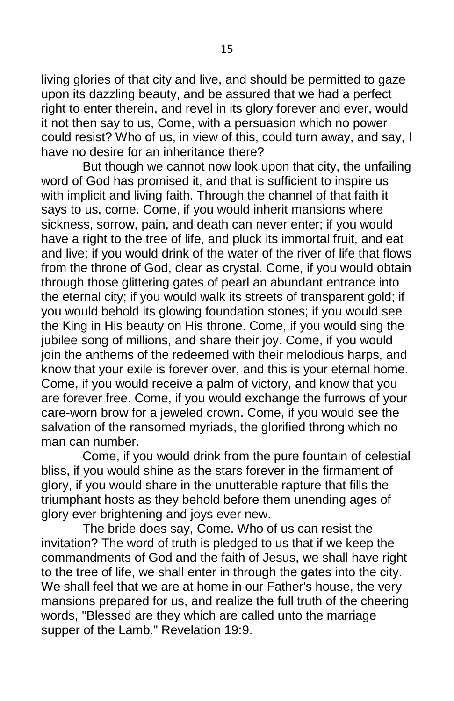living glories of that city and live, and should be permitted to gaze upon its dazzling beauty, and be assured that we had a perfect right to enter therein, and revel in its glory forever and ever, would it not then say to us, Come, with a persuasion which no power could resist? Who of us, in view of this, could turn away, and say, I have no desire for an inheritance there?

But though we cannot now look upon that city, the unfailing word of God has promised it, and that is sufficient to inspire us with implicit and living faith. Through the channel of that faith it says to us, come. Come, if you would inherit mansions where sickness, sorrow, pain, and death can never enter; if you would have a right to the tree of life, and pluck its immortal fruit, and eat and live; if you would drink of the water of the river of life that flows from the throne of God, clear as crystal. Come, if you would obtain through those glittering gates of pearl an abundant entrance into the eternal city; if you would walk its streets of transparent gold; if you would behold its glowing foundation stones; if you would see the King in His beauty on His throne. Come, if you would sing the jubilee song of millions, and share their joy. Come, if you would join the anthems of the redeemed with their melodious harps, and know that your exile is forever over, and this is your eternal home. Come, if you would receive a palm of victory, and know that you are forever free. Come, if you would exchange the furrows of your care-worn brow for a jeweled crown. Come, if you would see the salvation of the ransomed myriads, the glorified throng which no man can number.

Come, if you would drink from the pure fountain of celestial bliss, if you would shine as the stars forever in the firmament of glory, if you would share in the unutterable rapture that fills the triumphant hosts as they behold before them unending ages of glory ever brightening and joys ever new.

The bride does say, Come. Who of us can resist the invitation? The word of truth is pledged to us that if we keep the commandments of God and the faith of Jesus, we shall have right to the tree of life, we shall enter in through the gates into the city. We shall feel that we are at home in our Father's house, the very mansions prepared for us, and realize the full truth of the cheering words, "Blessed are they which are called unto the marriage supper of the Lamb." Revelation 19:9.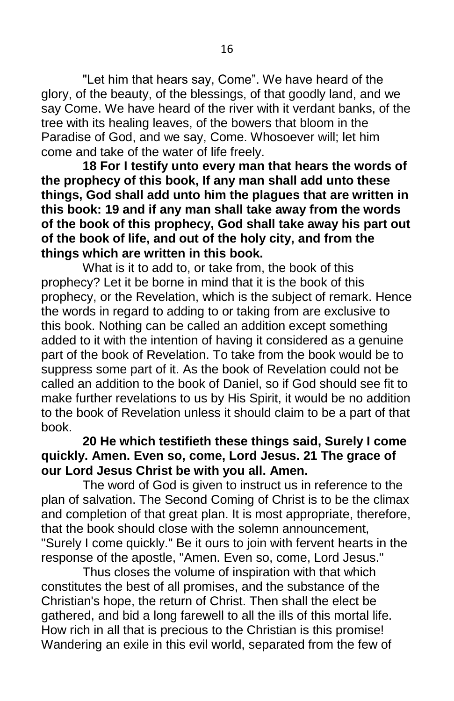"Let him that hears say, Come". We have heard of the glory, of the beauty, of the blessings, of that goodly land, and we say Come. We have heard of the river with it verdant banks, of the tree with its healing leaves, of the bowers that bloom in the Paradise of God, and we say, Come. Whosoever will; let him come and take of the water of life freely.

**18 For I testify unto every man that hears the words of the prophecy of this book, If any man shall add unto these things, God shall add unto him the plagues that are written in this book: 19 and if any man shall take away from the words of the book of this prophecy, God shall take away his part out of the book of life, and out of the holy city, and from the things which are written in this book.**

What is it to add to, or take from, the book of this prophecy? Let it be borne in mind that it is the book of this prophecy, or the Revelation, which is the subject of remark. Hence the words in regard to adding to or taking from are exclusive to this book. Nothing can be called an addition except something added to it with the intention of having it considered as a genuine part of the book of Revelation. To take from the book would be to suppress some part of it. As the book of Revelation could not be called an addition to the book of Daniel, so if God should see fit to make further revelations to us by His Spirit, it would be no addition to the book of Revelation unless it should claim to be a part of that book.

#### **20 He which testifieth these things said, Surely I come quickly. Amen. Even so, come, Lord Jesus. 21 The grace of our Lord Jesus Christ be with you all. Amen.**

The word of God is given to instruct us in reference to the plan of salvation. The Second Coming of Christ is to be the climax and completion of that great plan. It is most appropriate, therefore, that the book should close with the solemn announcement, "Surely I come quickly." Be it ours to join with fervent hearts in the response of the apostle, "Amen. Even so, come, Lord Jesus."

Thus closes the volume of inspiration with that which constitutes the best of all promises, and the substance of the Christian's hope, the return of Christ. Then shall the elect be gathered, and bid a long farewell to all the ills of this mortal life. How rich in all that is precious to the Christian is this promise! Wandering an exile in this evil world, separated from the few of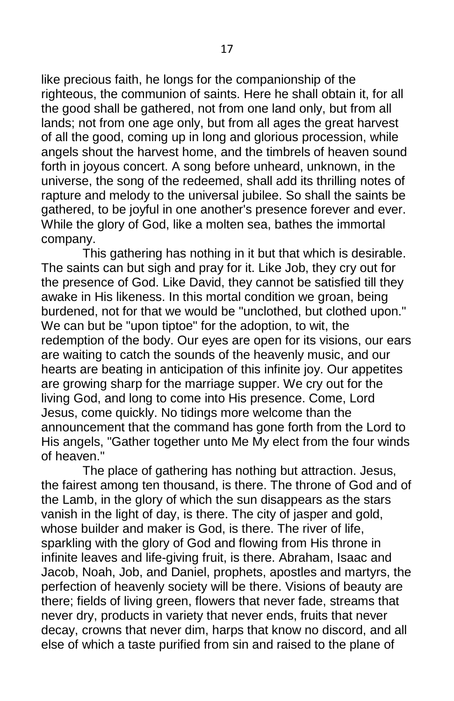like precious faith, he longs for the companionship of the righteous, the communion of saints. Here he shall obtain it, for all the good shall be gathered, not from one land only, but from all lands; not from one age only, but from all ages the great harvest of all the good, coming up in long and glorious procession, while angels shout the harvest home, and the timbrels of heaven sound forth in joyous concert. A song before unheard, unknown, in the universe, the song of the redeemed, shall add its thrilling notes of rapture and melody to the universal jubilee. So shall the saints be gathered, to be joyful in one another's presence forever and ever. While the glory of God, like a molten sea, bathes the immortal company.

This gathering has nothing in it but that which is desirable. The saints can but sigh and pray for it. Like Job, they cry out for the presence of God. Like David, they cannot be satisfied till they awake in His likeness. In this mortal condition we groan, being burdened, not for that we would be "unclothed, but clothed upon." We can but be "upon tiptoe" for the adoption, to wit, the redemption of the body. Our eyes are open for its visions, our ears are waiting to catch the sounds of the heavenly music, and our hearts are beating in anticipation of this infinite joy. Our appetites are growing sharp for the marriage supper. We cry out for the living God, and long to come into His presence. Come, Lord Jesus, come quickly. No tidings more welcome than the announcement that the command has gone forth from the Lord to His angels, "Gather together unto Me My elect from the four winds of heaven."

The place of gathering has nothing but attraction. Jesus, the fairest among ten thousand, is there. The throne of God and of the Lamb, in the glory of which the sun disappears as the stars vanish in the light of day, is there. The city of jasper and gold, whose builder and maker is God, is there. The river of life, sparkling with the glory of God and flowing from His throne in infinite leaves and life-giving fruit, is there. Abraham, Isaac and Jacob, Noah, Job, and Daniel, prophets, apostles and martyrs, the perfection of heavenly society will be there. Visions of beauty are there; fields of living green, flowers that never fade, streams that never dry, products in variety that never ends, fruits that never decay, crowns that never dim, harps that know no discord, and all else of which a taste purified from sin and raised to the plane of